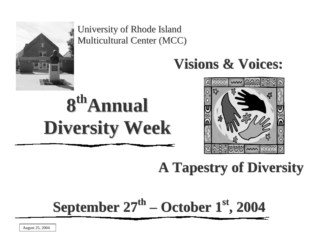

University of Rhode Island Multicultural Center (MCC)

## **Visions & Voices:**

# **8 thAnnual Diversity Week**



## **A Tapestry of Diversity**

## **September 27 th – October 1 st , 2004**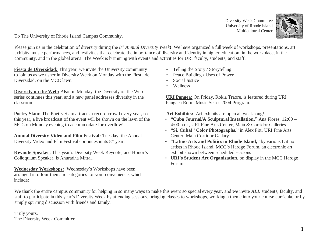Diversity Week Committee University of Rhode Island Multicultural Center



To The University of Rhode Island Campus Community,

Please join us in the celebration of diversity during the  $8^{th}$  *Annual Diversity Week*! We have organized a full week of workshops, presentations, art exhibits, music performances, and festivities that celebrate the importance of diversity and identity in higher education, in the workplace, in the community, and in the global arena. The Week is brimming with events and activities for URI faculty, students, and staff!

**Fiesta de Diversidad:** This year, we invite the University community to join us as we usher in Diversity Week on Monday with the Fiesta de Diversidad, on the MCC lawn.

**Diversity on the Web:** Also on Monday, the Diversity on the Web series continues this year, and a new panel addresses diversity in the classroom.

**Poetry Slam:** The Poetry Slam attracts a record crowd every year, so this year, a live broadcast of the event will be shown on the lawn of the MCC on Monday evening to accommodate for overflow!

**Annual Diversity Video and Film Festival:** Tuesday, the Annual Diversity Video and Film Festival continues in its  $8<sup>th</sup>$  year.

**Keynote Speaker:** This year's Diversity Week Keynote, and Honor's Colloquium Speaker, is Anuradha Mittal.

**Wednesday Workshops:** Wednesday's Workshops have been arranged into four thematic categories for your convenience, which include:

- Telling the Story / Storytelling
- Peace Building / Uses of Power
- Social Justice
- Wellness

**URI Pangea:** On Friday, Rokia Traore, is featured during URI Pangaea Roots Music Series 2004 Program.

**Art Exhibits:** Art exhibits are open all week long!

- **"Cuba Journal/A Sculptural Installation,"** Ana Flores, 12:00 4:00 p.m., URI Fine Arts Center, Main & Corridor Galleries
- **"Si, Cuba!" Color Photographs,"** in Alex Pitt, URI Fine Arts Center, Main Corridor Gallary
- **"Latino Arts and Politics in Rhode Island,"** by various Latino artists in Rhode Island, MCC's Hardge Forum, an electronic art exhibit shown between scheduled sessions
- **URI's Student Art Organization**, on display in the MCC Hardge Forum

We thank the entire campus community for helping in so many ways to make this event so special every year, and we invite *ALL* students, faculty, and staff to participate in this year's Diversity Week by attending sessions, bringing classes to workshops, working a theme into your course curricula, or by simply spurring discussion with friends and family.

Truly yours, The Diversity Week Committee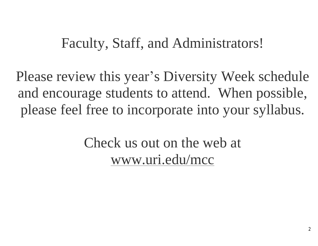## Faculty, Staff, and Administrators!

Please review this year's Diversity Week schedule and encourage students to attend. When possible, please feel free to incorporate into your syllabus.

> Check us out on the web at [www.uri.edu/mcc](http://www.uri.edu/mcc)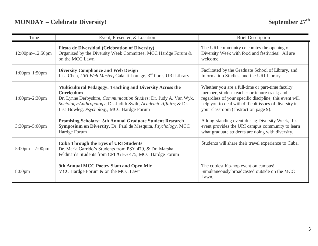| Time                              | Event, Presenter, & Location                                                                                                                                                                                                                                                                 | <b>Brief Description</b>                                                                                                                                                                                                                                      |
|-----------------------------------|----------------------------------------------------------------------------------------------------------------------------------------------------------------------------------------------------------------------------------------------------------------------------------------------|---------------------------------------------------------------------------------------------------------------------------------------------------------------------------------------------------------------------------------------------------------------|
| $12:00$ pm $-12:50$ pm            | <b>Fiesta de Diversidad (Celebration of Diversity)</b><br>Organized by the Diversity Week Committee, MCC Hardge Forum &<br>on the MCC Lawn                                                                                                                                                   | The URI community celebrates the opening of<br>Diversity Week with food and festivities! All are<br>welcome.                                                                                                                                                  |
| $1:00$ pm $-1:50$ pm              | <b>Diversity Compliance and Web Design</b><br>Lisa Chen, URI Web Master, Galanti Lounge, 3 <sup>rd</sup> floor, URI Library                                                                                                                                                                  | Facilitated by the Graduate School of Library, and<br>Information Studies, and the URI Library                                                                                                                                                                |
| $1:00$ pm $-2:30$ pm              | <b>Multicultural Pedagogy: Teaching and Diversity Across the</b><br><b>Curriculum</b><br>Dr. Lynne Derbyshire, <i>Communication Studies</i> ; Dr. Judy A. Van Wyk,<br>Sociology/Anthropology; Dr. Judith Swift, Academic Affairs; & Dr.<br>Lisa Bowleg, <i>Psychology</i> , MCC Hardge Forum | Whether you are a full-time or part-time faculty<br>member, student teacher or tenure track; and<br>regardless of your specific discipline, this event will<br>help you to deal with difficult issues of diversity in<br>your classroom (abstract on page 9). |
| 3:30pm-5:00pm                     | <b>Promising Scholars: 5th Annual Graduate Student Research</b><br>Symposium on Diversity, Dr. Paul de Mesquita, Psychology, MCC<br>Hardge Forum                                                                                                                                             | A long-standing event during Diversity Week, this<br>event provides the URI campus community to learn<br>what graduate students are doing with diversity.                                                                                                     |
| $5:00 \text{pm} - 7:00 \text{pm}$ | <b>Cuba Through the Eyes of URI Students</b><br>Dr. Maria Garrido's Students from PSY 479, & Dr. Marshall<br>Feldman's Students from CPL/GEG 475, MCC Hardge Forum                                                                                                                           | Students will share their travel experience to Cuba.                                                                                                                                                                                                          |
| 8:00 <sub>pm</sub>                | 9th Annual MCC Poetry Slam and Open Mic<br>MCC Hardge Forum & on the MCC Lawn                                                                                                                                                                                                                | The coolest hip-hop event on campus!<br>Simultaneously broadcasted outside on the MCC<br>Lawn.                                                                                                                                                                |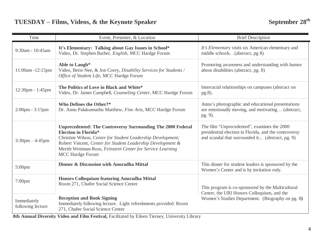| Time                              | Event, Presenter, & Location                                                                                                                                                                                                                                                                                              | <b>Brief Description</b>                                                                                                                                 |
|-----------------------------------|---------------------------------------------------------------------------------------------------------------------------------------------------------------------------------------------------------------------------------------------------------------------------------------------------------------------------|----------------------------------------------------------------------------------------------------------------------------------------------------------|
| 9:30am - 10:45am                  | It's Elementary: Talking about Gay Issues in School*<br>Video, Dr. Stephen Barber, English, MCC Hardge Forum                                                                                                                                                                                                              | It's Elementary visits six American elementary and<br>middle schools(abstract, pg 8)                                                                     |
| 11:00am -12:15pm                  | Able to Laugh*<br>Video, Bette Nee, & Jon Corey, Disability Services for Students /<br>Office of Student Life, MCC Hardge Forum                                                                                                                                                                                           | Promoting awareness and understanding with humor<br>about disabilities (abstract, pg. 8)                                                                 |
| 12:30pm - 1:45pm                  | The Politics of Love in Black and White*<br>Video, Dr. James Campbell, Counseling Center, MCC Hardge Forum                                                                                                                                                                                                                | Interracial relationships on campuses (abstract on<br>pg.8).                                                                                             |
| $2:00 \text{pm} - 3:15 \text{pm}$ | <b>Who Defines the Other?*</b><br>Dr. Annu Palakunnathu Matthew, Fine Arts, MCC Hardge Forum                                                                                                                                                                                                                              | Annu's photographic and educational presentations<br>are emotionally moving, and motivating (abstract,<br>pg. 9).                                        |
| $3:30 \text{pm} - 4:45 \text{pm}$ | <b>Unprecedented: The Controversy Surrounding The 2000 Federal</b><br><b>Election in Florida*</b><br>Christine Wilson, Center for Student Leadership Development;<br>Robert Vincent, Center for Student Leadership Development &<br>Merith Weisman-Ross, Feinstein Center for Service Learning<br><b>MCC Hardge Forum</b> | The film "Unprecedented", examines the 2000<br>presidential election in Florida, and the controversy<br>and scandal that surrounded it (abstract, pg. 9) |
| $5:00$ pm                         | Dinner & Discussion with Anuradha Mittal                                                                                                                                                                                                                                                                                  | This dinner for student leaders is sponsored by the<br>Women's Center and is by invitation only.                                                         |
| $7:00$ pm                         | Honors Colloquium featuring Anuradha Mittal<br>Room 271, Chafee Social Science Center                                                                                                                                                                                                                                     | This program is co-sponsored by the Multicultural<br>Center, the URI Honors Colloquium, and the                                                          |
| Immediately<br>following lecture  | <b>Reception and Book Signing</b><br>Immediately following lecture. Light refreshments provided. Room<br>271, Chafee Social Science Center                                                                                                                                                                                | Women's Studies Department. (Biography on pg. 8)                                                                                                         |

**8th Annual Diversity Video and Film Festival,** Facilitated by Eileen Tierney, University Library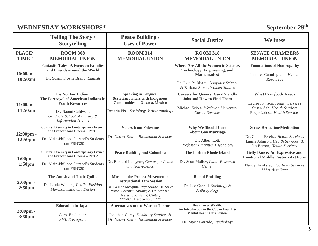|                                | <b>WEDNESDAY WORKSHOPS*</b>                                                                                                 |                                                                                                                                                                                                                         |                                                                                                                                                                     | September 29th                                                                                                   |
|--------------------------------|-----------------------------------------------------------------------------------------------------------------------------|-------------------------------------------------------------------------------------------------------------------------------------------------------------------------------------------------------------------------|---------------------------------------------------------------------------------------------------------------------------------------------------------------------|------------------------------------------------------------------------------------------------------------------|
|                                | <b>Telling The Story /</b><br><b>Storytelling</b>                                                                           | <b>Peace Building /</b><br><b>Uses of Power</b>                                                                                                                                                                         | <b>Social Justice</b>                                                                                                                                               | <b>Wellness</b>                                                                                                  |
| <b>PLACEU</b><br><b>TIME Ô</b> | <b>ROOM 308</b><br><b>MEMORIAL UNION</b>                                                                                    | <b>ROOM 314</b><br><b>MEMORIAL UNION</b>                                                                                                                                                                                | <b>ROOM 318</b><br><b>MEMORIAL UNION</b>                                                                                                                            | <b>SENATE CHAMBERS</b><br><b>MEMORIAL UNION</b>                                                                  |
| $10:00am -$<br>10:50am         | <b>Fantastic Tales: A Focus on Families</b><br>and Friends around the World<br>Dr. Susan Trostle Brand, English             |                                                                                                                                                                                                                         | Where Are All the Women in Science,<br>Technology, Engineering, and<br><b>Mathematics?</b><br>Dr. Joan Peckham, Computer Science<br>& Barbara Silver, Women Studies | <b>Foundations of Homeopathy</b><br>Jennifer Cunningham, Human<br>Resources                                      |
| $11:00am -$<br>11:50am         | I is Not For Indian:<br>The Portrayal of American Indians in<br><b>Youth Resources</b><br>Dr. Naomi Caldwell,               | <b>Speaking in Tongues:</b><br><b>State Encounters with Indigenous</b><br><b>Communities in Oaxaca, Mexico</b><br>Rosaria Pisa, Sociology & Anthropology                                                                | <b>Careers for Queers: Gay-Friendly</b><br><b>Jobs and How to Find Them</b><br>Michael Sciola, Wesleyan University                                                  | <b>What Everybody Needs</b><br>Laurie Johnson, Health Services<br>Susan Ash, Health Services                     |
|                                | Graduate School of Library &<br><b>Information Studies</b>                                                                  |                                                                                                                                                                                                                         | Career Services                                                                                                                                                     | Roger Jadosz, Health Services                                                                                    |
| $12:00 \text{pm}$ -<br>12:50pm | <b>Cultural Diversity in Contemporary French</b><br>and Francophone Cinema - Part 1<br>Dr. Alain-Philippe Durand's Students | <b>Voices from Palestine</b><br>Dr. Nasser Zawia, Biomedical Sciences                                                                                                                                                   | <b>Why We Should Care</b><br><b>About Gay Marriage</b><br>Dr. Albert Lott.                                                                                          | <b>Stress Reduction/Meditation</b><br>Dr. Celina Pereira, Health Services,<br>Laurie Johnson, Health Services, & |
|                                | from FRN320                                                                                                                 |                                                                                                                                                                                                                         | Professor Emeritus, Psychology                                                                                                                                      | Jan Barron, Health Services.                                                                                     |
| $1:00pm$ -                     | <b>Cultural Diversity in Contemporary French</b><br>and Francophone Cinema - Part 2                                         | <b>Peace Building and Colombia</b>                                                                                                                                                                                      | The Irish in Rhode Island                                                                                                                                           | <b>Belly Dance: An Expressive and</b><br><b>Emotional Middle Eastern Art Form</b>                                |
| 1:50 <sub>pm</sub>             | Dr. Alain-Philippe Durand's Students<br>from FRN320                                                                         | Dr. Bernard Lafayette, Center for Peace<br>and Nonviolence                                                                                                                                                              | Dr. Scott Molloy, Labor Research<br>Center                                                                                                                          | Nancy Hawksley, Facilities Services<br>***Atrium I***                                                            |
| 2:00pm -<br>2:50 <sub>pm</sub> | The Amish and Their Quilts<br>Dr. Linda Welters, Textile, Fashion<br>Merchandising and Design                               | <b>Music of the Protest Movements:</b><br><b>Instructional Jam Session</b><br>Dr. Paul de Mesquita, Psychology; Dr. Steve<br>Wood, Communications; & Dr. Stephen<br>Myles, Counseling Center,<br>***MCC Hardge Forum*** | <b>Racial Profiling</b><br>Dr. Leo Carroll, Sociology &<br>Anthropology                                                                                             |                                                                                                                  |
| $3:00pm$ -<br>3:50pm           | <b>Education</b> in Japan<br>Carol Englander,<br><b>SMILE Program</b>                                                       | <b>Alternatives to the War on Terror</b><br>Jonathan Corey, Disability Services &<br>Dr. Nasser Zawia, Biomedical Sciences                                                                                              | <b>Health over Wealth:</b><br>An Introduction to the Cuban Health &<br><b>Mental Health Care System</b><br>Dr. Maria Garrido, Psychology                            |                                                                                                                  |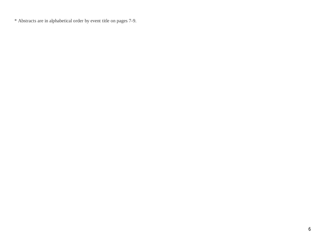\* Abstracts are in alphabetical order by event title on pages 7-9.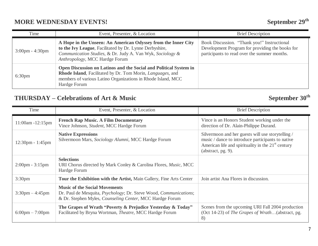## **MORE WEDNESDAY EVENTS!** September 29<sup>th</sup>

| Time                              | Event, Presenter, & Location                                                                                                                                                                                            | <b>Brief Description</b>                                                                                                                       |
|-----------------------------------|-------------------------------------------------------------------------------------------------------------------------------------------------------------------------------------------------------------------------|------------------------------------------------------------------------------------------------------------------------------------------------|
| $3:00 \text{pm} - 4:30 \text{pm}$ | A Hope in the Unseen: An American Odyssey from the Inner City<br>to the Ivy League, Facilitated by Dr. Lynne Derbyshire,<br>Communication Studies, & Dr. Judy A. Van Wyk, Sociology &<br>Anthropology, MCC Hardge Forum | Book Discussion. "Thank you!" Instructional<br>Development Program for providing the books for<br>participants to read over the summer months. |
| 6:30 <sub>pm</sub>                | Open Discussion on Latinos and the Social and Political System in<br>Rhode Island, Facilitated by Dr. Tom Morin, Languages, and<br>members of various Latino Organizations in Rhode Island, MCC<br>Hardge Forum         |                                                                                                                                                |

## **THURSDAY – Celebrations of Art & Music September 30th**

| Time                               | Event, Presenter, & Location                                                                                                                                                          | <b>Brief Description</b>                                                                                                                                                                |
|------------------------------------|---------------------------------------------------------------------------------------------------------------------------------------------------------------------------------------|-----------------------------------------------------------------------------------------------------------------------------------------------------------------------------------------|
| $11:00am - 12:15pm$                | <b>French Rap Music. A Film Documentary</b><br>Vince Johnson, Student, MCC Hardge Forum                                                                                               | Vince is an Honors Student working under the<br>direction of Dr. Alain-Philippe Durand.                                                                                                 |
| $12:30 \text{pm} - 1:45 \text{pm}$ | <b>Native Expressions</b><br>Silvermoon Mars, Sociology Alumni, MCC Hardge Forum                                                                                                      | Silvermoon and her guests will use storytelling /<br>music / dance to introduce participants to native<br>American life and spirituality in the $21st$ century<br>(abstract, $pg. 9$ ). |
| $2:00 \text{pm} - 3:15 \text{pm}$  | <b>Selections</b><br>URI Chorus directed by Mark Conley & Carolina Flores, <i>Music</i> , MCC<br>Hardge Forum                                                                         |                                                                                                                                                                                         |
| 3:30 <sub>pm</sub>                 | Tour the Exhibition with the Artist, Main Gallery, Fine Arts Center                                                                                                                   | Join artist Ana Flores in discussion.                                                                                                                                                   |
| $3:30 \text{pm} - 4:45 \text{pm}$  | <b>Music of the Social Movements</b><br>Dr. Paul de Mesquita, <i>Psychology</i> ; Dr. Steve Wood, <i>Communications</i> ;<br>& Dr. Stephen Myles, Counseling Center, MCC Hardge Forum |                                                                                                                                                                                         |
| $6:00 \text{pm} - 7:00 \text{pm}$  | The Grapes of Wrath "Poverty & Prejudice Yesterday & Today"<br>Facilitated by Bryna Wortman, Theatre, MCC Hardge Forum                                                                | Scenes from the upcoming URI Fall 2004 production<br>(Oct 14-23) of The Grapes of Wrath(abstract, pg.<br>8)                                                                             |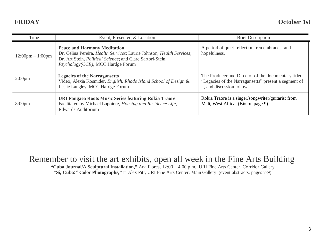| Time                               | Event, Presenter, & Location                                                                                                                                                                                    | <b>Brief Description</b>                                                                                                                   |
|------------------------------------|-----------------------------------------------------------------------------------------------------------------------------------------------------------------------------------------------------------------|--------------------------------------------------------------------------------------------------------------------------------------------|
| $12:00 \text{pm} - 1:00 \text{pm}$ | <b>Peace and Harmony Meditation</b><br>Dr. Celina Pereira, Health Services; Laurie Johnson, Health Services;<br>Dr. Art Stein, Political Science; and Clare Sartori-Stein,<br>Psychology(CCE), MCC Hardge Forum | A period of quiet reflection, remembrance, and<br>hopefulness.                                                                             |
| 2:00 <sub>pm</sub>                 | <b>Legacies of the Narraganetts</b><br>Video, Alexia Kosmider, English, Rhode Island School of Design &<br>Leslie Langley, MCC Hardge Forum                                                                     | The Producer and Director of the documentary titled<br>"Legacies of the Narragansetts" present a segment of<br>it, and discussion follows. |
| 8:00 <sub>pm</sub>                 | URI Pangaea Roots Music Series featuring Rokia Traore<br>Facilitated by Michael Lapointe, Housing and Residence Life,<br><b>Edwards Auditorium</b>                                                              | Rokia Traore is a singer/songwriter/guitarist from<br>Mali, West Africa. (Bio on page 9).                                                  |

## Remember to visit the art exhibits, open all week in the Fine Arts Building

**"Cuba Journal/A Sculptural Installation,"** Ana Flores, 12:00 – 4:00 p.m., URI Fine Arts Center, Corridor Gallery **"Si, Cuba!" Color Photographs,"** in Alex Pitt, URI Fine Arts Center, Main Gallery (event abstracts, pages 7-9)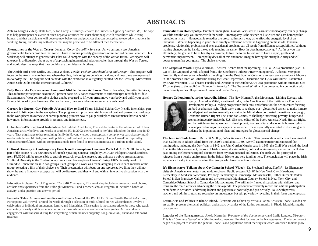### **ABSTRACTS**

**Able to Laugh (Video).** Bette Nee, & Jon Corey, *Disability Services for Students / Office of Student Life;* The hope is to help participants be aware of often-negative attitudes that exist about people with disabilities while using humor; and that participants will develop new behaviors and practices that can be applied to everyday situations in working, living, and dealing with others that may be perceived to be different then themselves.

**Alternatives to the War on Terror.** Jonathan Corey, *Disability Services;* As we currently see, American governmental leaders postulate that we will have to endure possibly generations of militarized cultural conflict. This workshop will attempt to generate ideas that could compete with the concept of the war on terror. Participants will take part in a discussion about ways of approaching international relations other than through the War on Terror, and would describe ways that they could share their ideas with others.

**The Amish and Their Quilts.** Dr. Linda Welters, *Textile, Fashion Merchandising and Design;* This program will focus on the Amish – who they are; where they live; their religious beliefs and values, and how these are expressed in everyday life. The program will coincide with the exhibition in our gallery entitled "At the Crossing: Midwestern Amish Crib Quilts and the Intersections of Cultures."

**Belly Dance: An Expressive and Emotional Middle Eastern Art Form.** Nancy Hawksley, *Facilities Services;*  This audience participation session will present basic belly dance movements to authentic (pre-recorded) Middle Eastern music. Wear comfortable clothes and be prepared to lift your arms, move your body and uplift your spirit! Bring a hip scarf if you have one. Men and women, dancers and non-dancers all are welcome!

**Careers for Queers: Gay-Friendly Jobs and How to Find Them.** Michael Sciola; Gay friendly internships, parttime and full-time jobs in the workplace. The program will provide a brief history of past and present status of gays in the workplace; an overview of career planning process; how to gauge workplace environments; how to handle how much information to provide in resumes and in interviews.

**Cuba Journal/A Sculptural Installation.** Art Exhibit: Ana Flores; This exhibit features the vibrant art of Cuban American artist who lives and works in southern RI. In 2002 she returned to her birth island for the first time in 40 years. That pilgrimage to her remaining family in Havana yielded a conceptually complex yet participatory multimedia installation. Multi-layered with political, cultural and personal imagery. "Cuba Journal" is inspired by Cuban resourcefulness, with its components made from found or recycled materials as a tribute to the island.

**Cultural Diversity in Contemporary French and Francophone Cinema – Parts 1 & 2.** FRN320 Students; As part of the course "FRN 320 Survey of French Speaking Cinema" taught by Dr. Alain-Philippe Durand, students from FRN320 will be responsible to entirely research, organize, present, and animate a public presentation on "Cultural Diversity in the Contemporary French and Francophone Cinema" during URI's diversity week. Dr. Durand will share the class in two groups. Each group will work as a team, assigning roles to each member of the group, selecting a film of their choice, etc. Their presentation will focus on one representative film; they will not show the entire film, only excerpts that will be discussed and they will end with an interactive discussion with the audience.

**Education in Japan.** Carol Englander, *The SMILE Program;* This workshop includes a presentation of photos, artifacts and experiences from the Fulbright Memorial Fund Teacher Scholar Program. It includes a hands-on activity, and a question and answer period.

**Fantastic Tales: A Focus on Families and Friends Around the World.** Dr. Susan Trostle Brand, *Education;*  Participants will "travel" around the world through a selection of multicultural stories whose themes involve a celebration of individual uniqueness, family, and friendships. This session is most appropriate for those who teach elementary or early childhood education or for those who educate teachers in these grades. Active audience engagement will transpire during the storytelling, which includes puppetry, song, draw talk, chant and felt board methods.

**Foundations in Homeopathy.** Jennifer Cunningham, *Human Resources;* Learn how homeopathy can help change your life and the way you interact with the world. Homeopathy is the science of like cures and uses homeopathic remedies in its art. Homeopathic remedies are prepared in such a way as to affect the energetic level of an individual. What is happening in your life is simply a reflection of what is happening on the inside. Financial problems, relationship problems and even accidental problems can all result from different susceptibilities. Without making changes on the inside, the outside remains the same. How far does homeopathy go? As far as you like. Ultimately, the goal is to be as healthy as possible, to live life to the fullest and to have a rapid, gentle and permanent improvement. Homeopathy does all of this and more. Imagine having the strength, clarity and will power to manifest your goals. The choice is yours.

**The Grapes of Wrath.** Bryna Wortman, *Theatre***;** Scenes from the upcoming URI Fall 2004 production (Oct 14- 23) of The Grapes of Wrath, adapted from John Steinbeck's Pulitzer-Prize winning novel. A decent, very poor farm family endures extreme hardship traveling from the Dust Bowl of Oklahoma to seek work as migrant laborers in "the promised land" of California during the Great Depression. Discussion and Q&A will follow. Facilitated by Bryna Wortman, URI Theatre Faculty and Director of the October 2004 URI production with its attendant Oct 17 panel (free to the public) on "Hunger In America". The Grapes of Wrath will be presented in conjunction with the university-wide colloquium on Hunger and Social Policy.

**Honors Colloquium featuring Anuradha Mittal.** The New Human Rights Movement: Linking Ecology with



Equity. Anuradha Mittal, a native of India, is the Co-Director of the Institute for Food and Development Policy, a leading progressive think tank and education-for-action center focusing on food as a human right. Their work aims to re-shape our - global food system to make it more socially-just and environmentally - sustainable. Mittal also coordinated the national campaign, Economic Human Rights: The Time has Come!, to challenge increasing poverty, hunger and economic insecurity inside the U.S. She is co-editor of the book, America Needs Human Rights and her articles on trade, women in development, food security, and economic human rights have appeared in major newspapers nationwide. She is especially interested in discussing with students the implemtation of ideas and strategies for global special change.

**The Irish in Rhode Island.** Dr. Scott Molloy, *Labor Research Center*; This presentation will cover the arrival of Irish Catholics in Rhode Island from the 1820's until about 1960. We will examine major milestones of that immigration, including the Dorr War in 1842; the John Gordon Murder case in 1845, the Civil War period, the local Irish in the labor movement, the role of Irish women; discrimination; political achievements, and so on. I will also pass among the listeners original document from my own personal collection. The Irish will be portrayed as refugees from a hostile environment in the British Isles to one very familiar here. The conclusion will place the Irish experience locally in comparison to other groups who have come to our shores.

**It's Elementary: Talking about Gay Issues in School (Video).** Dr. Stephen Barber, *English*; It's Elementary visits six American elementary and middle schools: Public systems P.S. 87 in New York City, Hawthorne Elementary in Madison, Wisconsin, Peabody Elementary in Cambridge, Massachusetts, Luther Burbank Middle School in San Francisco, California; and private schools Manhattan Country School in New York City, and Cambridge Friends School in Cambridge, Massachusetts. The brilliantly framed discussions with children and teens are the main vehicles advancing the film's agenda. The producers effectively record and edit the participation of students in activities "addressing lesbian and gay issues" positively and pro-actively. Talks with parents, teachers and administrators are secondary in importance, but still powerfully revealing in their focus and emphasis.

**Latino Arts and Politics in Rhode Island.** Electronic Art Exhibit by Various Latino Artists in Rhode Island; This art exhibit presents the social, political, and artistic dynamics of the Latino community in Rhode Island during the past century.

**Legacies of the Narragansetts.** Alexia Kosmider, *Producer of the documentary*, and Leslie Langley, *Director*. This is a 15-minute "teaser" of a 60-minute documentary film that focuses on the Narragansetts. The larger project began as a project to inform the general Rhode Island population about the ways in which American Indians grow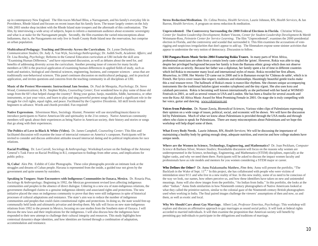up in contemporary New England. The film traces Michael Bliss, a Narragansett, and his family's everyday life in Providence, Rhode Island and focuses on recent issues that his family faces. The teaser largely centers on the July 14th 2003 smoke shop incident with the Rhode Island state troopers and the aftermath of this confrontation. The film, by interviewing a wide array of subjects, hopes to inform a mainstream audience about economic sovereignty and what is at stake for the Narragansett people. Secondly, the film examines the varied misconceptions about Indianness, that is, the Naragansetts not only live in South County Rode Island near the reservation, but comprise an urban population.

**Multicultural Pedagogy: Teaching and Diversity Across the Curriculum.** Dr. Lynne Derbyshire, *Communication Studies*; Dr. Judy A. Van Wyk, *Sociology/Anthropology*; Dr. Judith Swift, *Academic Affairs*; and Dr. Lisa Bowleg, *Psychology;* Reforms in the General Education curriculum at URI include the skill area "Examining Human Difference," and have rejuvenated discussion, as well as debates about the need for, and benefits of addressing diversity across the curriculum. Another pressing issue of concern for many faculty members at URI is the practical application of examining human differences in applied fields of study, such as math and statistics, biological and chemical sciences, engineering, business, and computer sciences – areas that are traditionally non-behavioral sciences. This panel continues discussion on multicultural pedagogy, and its practical application, and invites questions and concerns from the teaching community in all disciplines at URI.

**Music of the Protest Movements: Instructional Jam Session.** Dr. Paul de Mesquita, *Psychology*; Dr. Steve Wood, *Communications*; & Dr. Stephen Myles, *Counseling Center;* Ever wondered how to play some of those old songs from the 60's that helped change the country? Bring your guitar, banjo, mandolin, fiddle, harmonica, or other instruments, or just your voice, and learn to play and sing powerful protest songs that played a significant role in the struggle for civil rights, equal rights, and peace. Facilitated by the *Cognitive Dissidents*. All skill levels invited beginners to advance. Words and chords provided. Fun required!

**Native Expressions**. Silvermoon Mars, Sociology Alumni; Presenter will use storytelling/music/dance to introduce participants to Native American life and spirituality in the 21st century. Native American community members will speak about their experiences as being Native in American society, their history and stories or songs that go along with their experiences.

**The Politics of Love in Black & White (Video).** Dr. James Campbell, *Counseling Center;* This film and facilitated discussion will examine the issue of interracial romance on America's campuses. Participants will be invited to consider and discuss ambivalent attitudes toward interracial dating and its political implications for race relations.

**Racial Profiling.** Dr. Leo Carroll, *Sociology & Anthropology;* Workshop/Lecture on the findings of the Attorney General's Task Force on Racial Profiling in R.I, comparison to findings from other areas, and implications for public policy.

**Si, Cuba!** Alex Pitt. Exhibit of Color Photographs. These color photographs provide an intimate look at the struggles and dreams of Cuban people. Havana is represented from the inside, a guided tour not given by the government and quite unseen by outsiders.

**Speaking in Tongues: State Encounters with Indigenous Communities in Oaxaca, Mexico.** Dr. Rosaria Pisa, *Sociology & Anthropology;* Beginning in 1992, the Mexican government revised laws affecting indigenous communities and peoples in the absence of direct dialogue. Ushering in a new era of state-indigenous relations, the government challenged claims to a genuine indigenous identity and associated rights and protections. The new initiative placed the onus on indigenous community to prove that they were still indigenous in spite of historical processes of cultural adaptations and resistance. The state's aim was to reduce the number of indigenous communities and peoples that could claim constitutional rights and protections. In doing so, the state would free-up communally held lands and ultimately privatize and develop them. My talk will focus on new state-indigenous relations from 1992 to the present in Mexico, focusing on case studies from the Southern state of Oaxaca. I will discuss the new laws and their implications for the indigenous. I will also discuss how the indigenous have responded to their new attempt to challenge their cultural integrity and resources. This study highlights how contextual dynamics shape identities, and how identities are formed through a combination of adaptation, accommodation and resistance.

**Stress Reduction/Meditation.** Dr. Celina Pereira, *Health Services,* Laurie Johnson, RN, *Health Services,* & Jan Barron, *Health Services;* A program on stress reduction & meditation.

**Unprecedented: The Controversy Surrounding the 2000 Federal Elections in Florida**. Christine Wilson, *Center for Student Leadership Development*; Robert Vincent, *Center for Student Leadership Development* & Merith Weismann-Ross, *Feinstein Center for Service Learning*; The film "Unprecedented", examines the 2000 presidential election in Florida, and the controversy and scandal that surrounded it. This film examines the accusations of voterigging and suspicious irregularities that don't appear to add up. The filmmakers expose some sinister activities that appear to undermine the very notion of democracy. Discussion to follow.

**URI Pangaea Roots Music Series 2004 Featuring Rokia Traore.** In many parts of West Africa, professional musicians are often from a certain lowly caste called the 'griots'. However, Rokia was able to sing despite her privileged background because her family is from the Bamana ethnic group which does not observe this restriction as strictly. Because her father was a diplomat, her family spent a lot of time in different countries which led Rokia to encounter many local and international styles of music. Rokia recorded her first album, *Mouneïssa*, in 1998. Her *Wanita* CD came out in 2000 and is in Bamanan except for 'Château de sable', which is in French. Her lyrics cover issues like respect, traditions and relationships. Hauntingly beautiful gentle tracks make this a real treasure trove. The hallmark of Rokia's music is trance-like rhythms. She chooses unique accompanying instruments like the traditional balafon (giant wooden xylophone) and the tiny n'goni. She also uses kora and calabash percussion. Rokia is becoming well known internationally as she performed with her band at WOMAD Festivals in 2001, as well as several venues in USA and London. She has been a finalist for several awards and won the Kora All Africa Music Award for Most Promising Female in 2001. On stage she is truly compelling with her voice, guitar and dancing. [www.rokiatraore.net](http://www.rokiatraore.net)

**Voices from Palestine.** Dr. Nasser Zawia, *Biomedical Sciences*, Various video clips of Palestinians expressing their opinion on a wide range of issues, political, social, and economic will be shown. We will have the discussion led by Palestinians. Much of what we know about Palestinians is provided through the USA media and through others who claim to speak for Palestinians. There are many misconceptions about Palestinians and we hope this workshop will help dispel some of them.

**What Every Body Needs.** Laurie Johnson, RN, *Health Services;* We will be discussing the importance of maintaining a healthy body by getting enough sleep, adequate nutrition, and exercise and how college students have unique needs.

**Where are the Women in Science, Technology, Engineering, and Mathematics?** Dr. Joan Peckham, *Computer Science &* Barbara Silver*, Women Studies;* Roundtable discussion will focus on the reasons why women are underrepresented in the Science, technology, Engineering, and Mathematics (STEM) disciplines, especially at the higher ranks, and why we need them there. Participants will be asked to discuss the impact women faculty and professionals have as role models and mentors for you women considering a STEM major or career.

**Who Defines the Other?** Dr. Annu Palakunnathu Matthew, *Fine Arts;* Annu will present the portfolio, "The Backlash in the Wake of Sept. 11<sup>th</sup>." In this project, she has collaborated with people who were victims of intimidation since 9/11 and who live in a new reality of fear. In this new reality, some of us need to be conscious of the way we look, our names, how others perceive us, and how these identifiers have taken on new and unintended meanings. Annu will also show images from the portfolio, "An Indian from India." In this portfolio, she looks at the other "Indian." Annu finds similarities in how Nineteenth century photographers of Native Americans looked at what they called the primitive natives, similar to the colonial gaze of the Nineteenth century British photographers used when working in India. The final paired images challenge the viewers' assumptions of then and now, us and them, as well as exotic and local.

**Why We Should Care about Gay Marriage.** Albert Lott, *Professor Emeritus, Psychology;* This workshop will explore and discuss an affirmative approach to gay marriages as sound social policy. It will look at federal rights accorded to married individuals. It will then examine the proposition that American society will benefit by permitting gay individuals to participate in the obligations and traditions of marriage.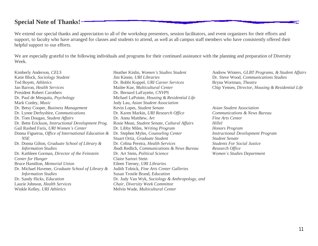### **Special Note of Thanks!**

We extend our special thanks and appreciation to all of the workshop presenters, session facilitators, and event organizers for their efforts and support, to faculty who have arranged for classes and students to attend, as well as all campus staff members who have consistently offered their helpful support to our efforts.

We are especially grateful to the following individuals and programs for their continued assistance with the planning and preparation of Diversity Week.

Kimberly Anderson, *CELS*  Katie Block, *Sociology Student*  Ted Boyett, *Athletics*  Jan Barron, *Health Services*  President Robert Carothers Dr. Paul de Mesquita, *Psychology*  Mark Conley, *Music*  Dr. Betsy Cooper, *Business Management*  Dr. Lynne Derbyshire, *Communications*  Dr. Tom Dougan, *Student Affairs* Dr. Bette Erickson, *Instructional Development Prog.*  Gail Rashed Faris, *URI Women's Center* Donna Figueroa, *Office of International Education & NSE*  Dr. Donna Gilton, *Graduate School of Library & Information Studies*  Dr. Kathleen Gorman, *Director of the Feinstein Center for Hunger*  Bruce Hamilton, *Memorial Union*  Dr. Michael Havener, *Graduate School of Library & Information Studies*  Dr. Sandy Hicks, *Education*  Laurie Johnson, *Health Services*  Winkle Kelley, *URI Athletics* 

Heather Kinlin, *Women's Studies Student* Jim Kinnie, *URI Libraries*  Dr. Bobbi Koppel, *URI Career Services*  Mailee Kue, *Multicultural Center* Dr. Bernard LaFayette, *CNVPS* Michael LaPointe, *Housing & Residential Life*  Judy Lau, *Asian Student Association*  Kevin Lopes, *Student Senate*  Dr. Karen Markin, *URI Research Office*  Dr. Annu Matthew, *Art*  Rosie Mean, *Student Senate, Cultural Affairs*  Dr. Libby Miles, *Writing Program*  Dr. Stephen Myles, *Counseling Center*  Stuart Ortiz, *Graduate Student*  Dr. Celina Pereira, *Health Services*  Jhodi Redlich, *Communications & News Bureau*  Dr. Art Stein, *Political Science* Claire Sartori Stein Eileen Tierney, *URI Libraries*  Judith Tolnick, *Fine Arts Center Galleries*  Susan Trostle Brand, *Education*  Dr. Judy Van Wyk, *Sociology & Anthropology, and Chair, Diversity Week Committee*  Melvin Wade, *Multicultural Center* 

Andrew Winters, *GLBT Programs, & Student Affairs*  Dr. Steve Wood, *Communications Studies*  Bryna Wortman, *Theatre*  Chip Yensen, *Director, Housing & Residential Life* 

*Asian Student Association Communications & News Bureau Fine Arts Center Hillel Honors Program Instructional Development Program Student Senate Students For Social Justice Research Office Women's Studies Department*